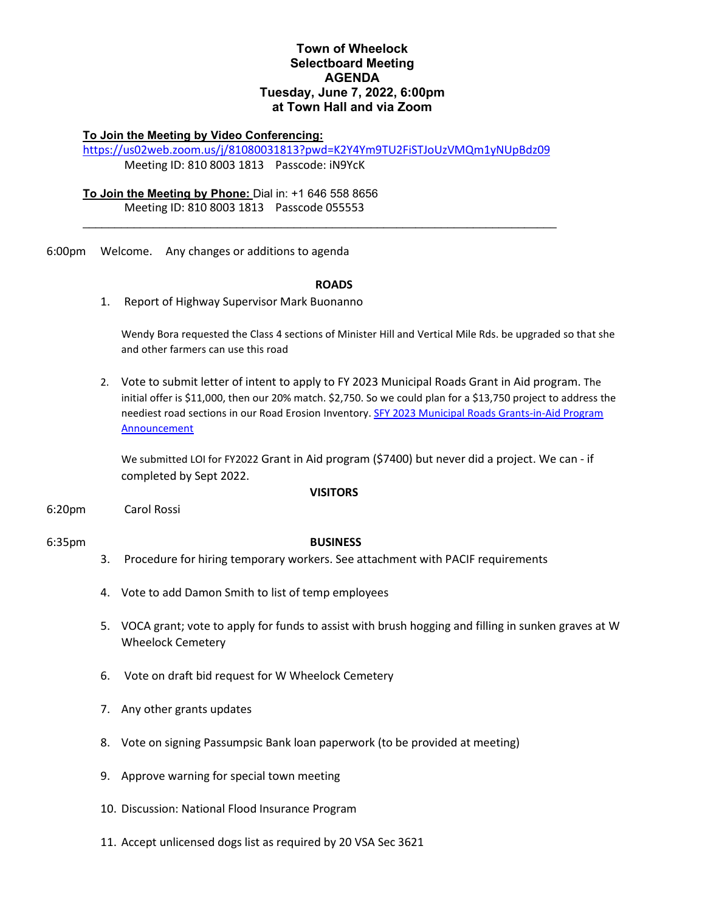## **Town of Wheelock Selectboard Meeting AGENDA Tuesday, June 7, 2022, 6:00pm at Town Hall and via Zoom**

### **To Join the Meeting by Video Conferencing:**

<https://us02web.zoom.us/j/81080031813?pwd=K2Y4Ym9TU2FiSTJoUzVMQm1yNUpBdz09> Meeting ID: 810 8003 1813 Passcode: iN9YcK

\_\_\_\_\_\_\_\_\_\_\_\_\_\_\_\_\_\_\_\_\_\_\_\_\_\_\_\_\_\_\_\_\_\_\_\_\_\_\_\_\_\_\_\_\_\_\_\_\_\_\_\_\_\_\_\_\_\_\_\_\_\_\_\_\_\_\_\_\_\_\_\_\_\_

## **To Join the Meeting by Phone:** Dial in: +1 646 558 8656 Meeting ID: 810 8003 1813 Passcode 055553

6:00pm Welcome. Any changes or additions to agenda

#### **ROADS**

1. Report of Highway Supervisor Mark Buonanno

Wendy Bora requested the Class 4 sections of Minister Hill and Vertical Mile Rds. be upgraded so that she and other farmers can use this road

2. Vote to submit letter of intent to apply to FY 2023 Municipal Roads Grant in Aid program. The initial offer is \$11,000, then our 20% match. \$2,750. So we could plan for a \$13,750 project to address the neediest road sections in our Road Erosion Inventory. SFY 2023 [Municipal Roads Grants-in-Aid Program](https://vtrans.vermont.gov/sites/aot/files/highway/documents/ltf/SFY23%20Grants%20in%20Aid%20Program%20Announcement%20052422.pdf)  [Announcement](https://vtrans.vermont.gov/sites/aot/files/highway/documents/ltf/SFY23%20Grants%20in%20Aid%20Program%20Announcement%20052422.pdf)

We submitted LOI for FY2022 Grant in Aid program (\$7400) but never did a project. We can - if completed by Sept 2022.

#### **VISITORS**

6:20pm Carol Rossi

#### 6:35pm **BUSINESS**

- 3. Procedure for hiring temporary workers. See attachment with PACIF requirements
- 4. Vote to add Damon Smith to list of temp employees
- 5. VOCA grant; vote to apply for funds to assist with brush hogging and filling in sunken graves at W Wheelock Cemetery
- 6. Vote on draft bid request for W Wheelock Cemetery
- 7. Any other grants updates
- 8. Vote on signing Passumpsic Bank loan paperwork (to be provided at meeting)
- 9. Approve warning for special town meeting
- 10. Discussion: National Flood Insurance Program
- 11. Accept unlicensed dogs list as required by 20 VSA Sec 3621